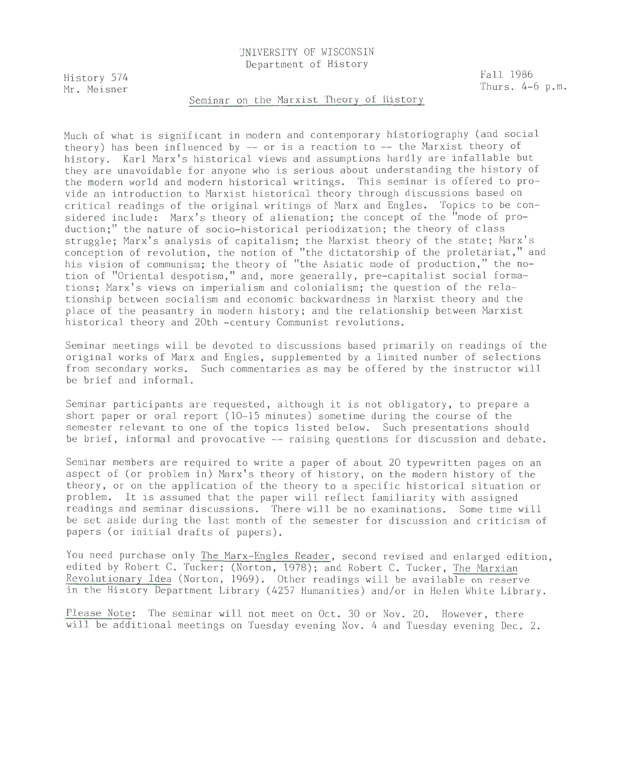# UNIVERSITY OF WISCONSIN Department of History

History 574 Mr. Meisner Fall 1986 Thurs. 4-6 p.m.

# Seminar on the Marxist Theory of History

Much of what is significant in modern and contemporary historiography (and social theory) has been influenced by -- or is a reaction to -- the Marxist theory of history. Karl Marx's historical views and assumptions hardly are infallable but they are unavoidable for anyone who is serious about understanding the history of the modern world and modern historical writings. This seminar is offered to provide an introduction to Marxist historical theory through discussions based on critical readings of the original writings of Marx and Engles. Topics to be considered include: Marx's theory of alienation; the concept of the "mode of production;" the nature of socio-historical periodization; the theory of class struggle; Marx's analysis of capitalism; the Marxist theory of the state; Marx's conception of revolution, the notion of "the dictatorship of the proletariat," and his vision of communism; the theory of "the Asiatic mode of production," the notion of "Oriental despotism," and, more generally, pre-capitalist social formations; Marx's views on imperialism and colonialism; the question of the relationship between socialism and economic backwardness in Marxist theory and the place of the peasantry in modern history; and the relationship between Marxist historical theory and 20th -century Communist revolutions.

Seminar meetings will be devoted to discussions based primarily on readings of the original works of Marx and Engles, supplemented by a limited number of selections from secondary works. Such commentaries as may be offered by the instructor will be brief and informal.

Seminar participants are requested, although it is not obligatory, to prepare a short paper or oral report (10-15 minutes) sometime during the course of the semester relevant to one of the topics listed below. Such presentations should be brief, informal and provocative -- raising questions for discussion and debate.

Seminar members are required to write a paper of about 20 typewritten pages on an aspect of (or problem in) Marx's theory of history, on the modern history of the theory, or on the application of the theory to a specific historical situation or problem. It is assumed that the paper will reflect familiarity with assigned readings and seminar discussions. There will be no examinations. Some time will be set aside during the last month of the semester for discussion and criticism of papers (or initial drafts of papers).

You need purchase only The Marx-Engles Reader, second revised and enlarged edition, edited by Robert C. Tucker; (Norton, 1978); and Robert C. Tucker, The Marxian Revolutionary Idea (Norton, 1969). Other readings will be available on reserve in the History Department Library (4257 Humanities) and/or in Helen White Library.

Please Note: The seminar will not meet on Oct. 30 or Nov. 20. However, there will be additional meetings on Tuesday evening Nov. 4 and Tuesday evening Dec. 2.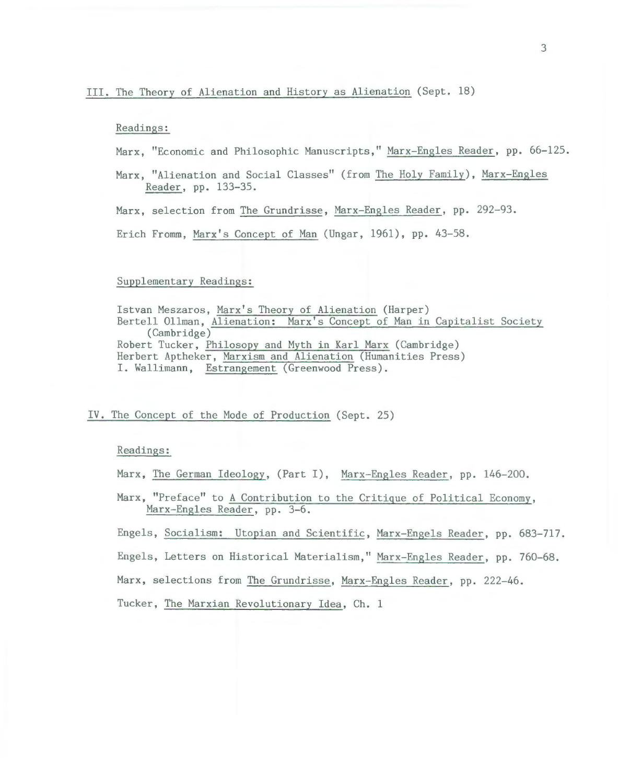### Readings:

Marx, "Economic and Philosophic Manuscripts," Marx-Engles Reader, pp. 66-125.

Marx, "Alienation and Social Classes" (from The Holy Family), Marx-Engles Reader, pp. 133-35.

Marx, selection from The Grundrisse, Marx-Engles Reader, pp. 292-93.

Erich Fromm, Marx's Concept of Man (Ungar, 1961), pp. 43-58.

# Supplementary Readings:

```
Istvan Meszaros, Marx's Theory of Alienation (Harper) 
Bertell Ollman, Alienation: Marx's Concept of Man in Capitalist Society 
     (Cambridge) 
Robert Tucker, Philosopy and Myth in Karl Marx (Cambridge) 
Herbert Aptheker, Marxism and Alienation (Humanities Press) 
I. Wallimann, Estrangement (Greenwood Press) .
```
# IV. The Concept of the Mode of Production (Sept. 25)

### Readings:

Marx, The German Ideology, (Part I), Marx-Engles Reader, pp. 146-200.

Marx, "Preface" to A Contribution to the Critique of Political Economy, Marx-Engles Reader, pp. 3-6.

Engels, Socialism: Utopian and Scientific, Marx-Engels Reader, pp. 683-717.

Engels, Letters on Historical Materialism," Marx-Engles Reader, pp. 760-68.

Marx, selections from The Grundrisse, Marx-Engles Reader, pp. 222-46.

Tucker, The Marxian Revolutionary Idea, Ch. 1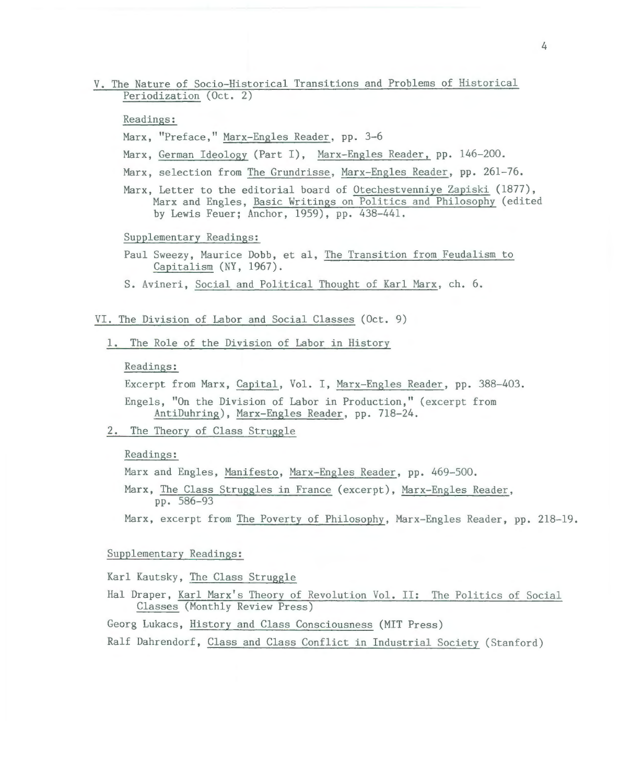# V. The Nature of Socio-Historical Transitions and Problems of Historical Periodization (Oct. 2)

# Readings:

- Marx, "Preface," Marx-Engles Reader, pp. 3-6
- Marx, German Ideology (Part I), Marx-Engles Reader, pp. 146-200.
- Marx, selection from The Grundrisse, Marx-Engles Reader, pp. 261-76.
- Marx, Letter to the editorial board of Otechestvenniye Zapiski (1877), Marx and Engles, Basic Writings on Politics and Philosophy (edited by Lewis Feuer; Anchor, 1959), pp. 438-441.

#### Supplementary Readings:

- Paul Sweezy, Maurice Dobb, et al, The Transition from Feudalism to Capitalism (NY, 1967).
- S. Avineri, Social and Political Thought of Karl Marx, ch. 6.

# VI. The Division of Labor and Social Classes (Oct. 9)

1. The Role of the Division of Labor in History

### Readings:

Excerpt from Marx, Capital, Vol. I, Marx-Engles Reader, pp. 388-403.

Engels, "On the Division of Labor in Production," (excerpt from AntiDuhring), Marx-Engles Reader, pp. 718-24.

2. The Theory of Class Struggle

### Readings:

Marx and Engles, Manifesto, Marx-Engles Reader, pp. 469-500.

Marx, The Class Struggles in France (excerpt), Marx-Engles Reader, pp. 586-93

Marx, excerpt from The Poverty of Philosophy, Marx-Engles Reader, pp. 218-19.

# Supplementary Readings:

Karl Kautsky, The Class Struggle

Hal Draper, Karl Marx's Theory of Revolution Vol. II: The Politics of Social Classes (Monthly Review Press)

Georg Lukacs, History and Class Consciousness (MIT Press)

Ralf Dahrendorf, Class and Class Conflict in Industrial Society (Stanford)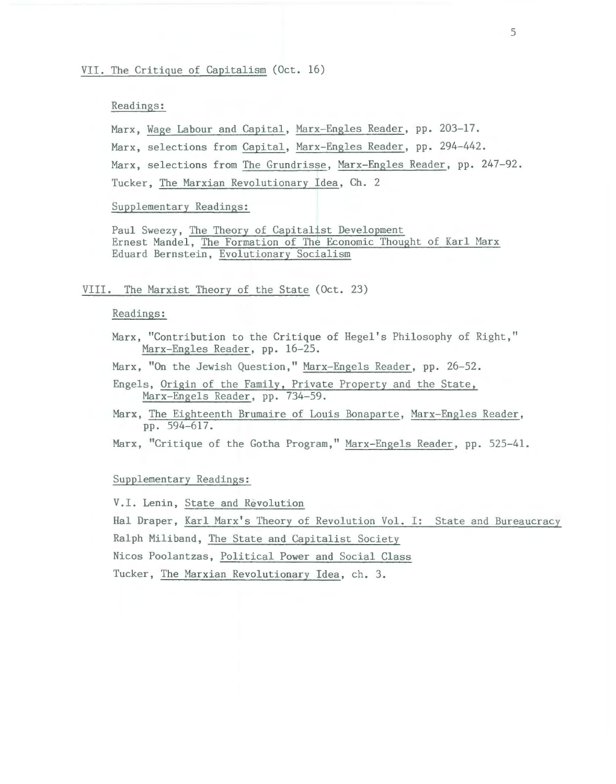# Readings:

Marx, Wage Labour and Capital, Marx-Engles Reader, pp. 203-17. Marx, selections from Capital, Marx-Engles Reader, pp. 294-442. Marx, selections from The Grundrisse, Marx-Engles Reader, pp. 247-92. Tucker, The Marxian Revolutionary Idea, Ch. 2

Supplementary Readings:

Paul Sweezy, The Theory of Capitalist Development Ernest Mandel, The Formation of The Economic Thought of Karl Marx Eduard Bernstein, Evolutionary Socialism

# VIII. The Marxist Theory of the State (Oct. 23)

# Readings:

Marx, "Contribution to the Critique of Hegel's Philosophy of Right," Marx-Engles Reader, pp. 16-25.

Marx, "On the Jewish Question," Marx-Engels Reader, pp. 26-52.

- Engels, Origin of the Family, Private Property and the State, Marx-Engels Reader, pp. 734-59.
- Marx, The Eighteenth Brumaire of Louis Bonaparte, Marx-Engles Reader, pp. 594-617.

Marx, "Critique of the Gotha Program," Marx-Engels Reader, pp. 525-41.

# Supplementary Readings:

V.I. Lenin, State and Revolution

Hal Draper, Karl Marx's Theory of Revolution Vol. I: State and Bureaucracy Ralph Miliband, The State and Capitalist Society

Nicos Poolantzas, Political Power and Social Class

Tucker, The Marxian Revolutionary Idea, ch. 3.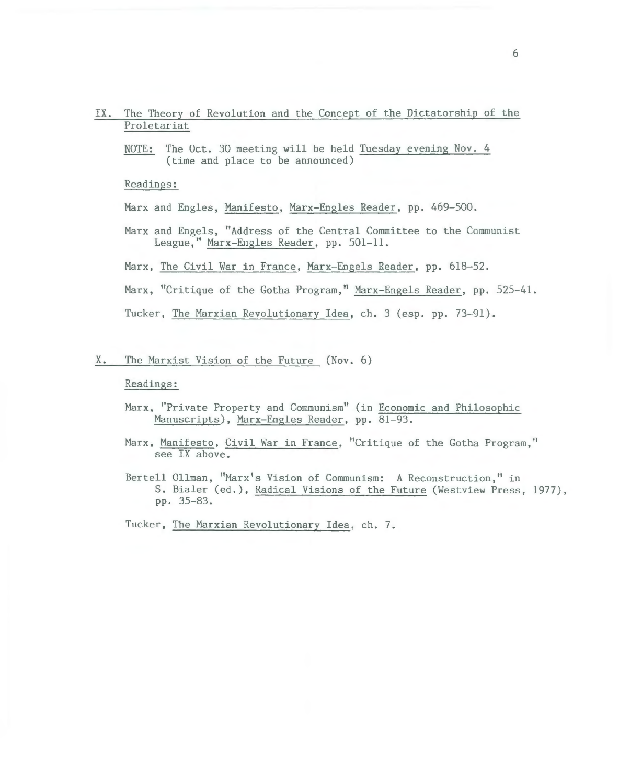- IX. The Theory of Revolution and the Concept of the Dictatorship of the Proletariat
	- NOTE: The Oct. 30 meeting will be held Tuesday evening Nov. 4 (time and place to be announced)

Readings:

Marx and Engles, Manifesto, Marx-Engles Reader, pp. 469-500.

- Marx and Engels, "Address of the Central Committee to the Communist League," Marx-Engles Reader, pp. 501-11.
- Marx, The Civil War in France, Marx-Engels Reader, pp. 618-52.

Marx, "Critique of the Gotha Program," Marx-Engels Reader, pp. 525-41.

Tucker, The Marxian Revolutionary Idea, ch. 3 (esp. pp. 73-91).

X. The Marxist Vision of the Future (Nov. 6)

Readings:

- Marx, "Private Property and Communism" (in Economic and Philosophic Manuscripts), Marx-Engles Reader, pp. 81-93.
- Marx, Manifesto, Civil War in France, "Critique of the Gotha Program," see IX above.
- Bertell Ollman, "Marx's Vision of Communism: A Reconstruction," in S. Bialer (ed.), Radical Visions of the Future (Westview Press, 1977), pp. 35-83.

Tucker, The Marxian Revolutionary Idea, ch. 7.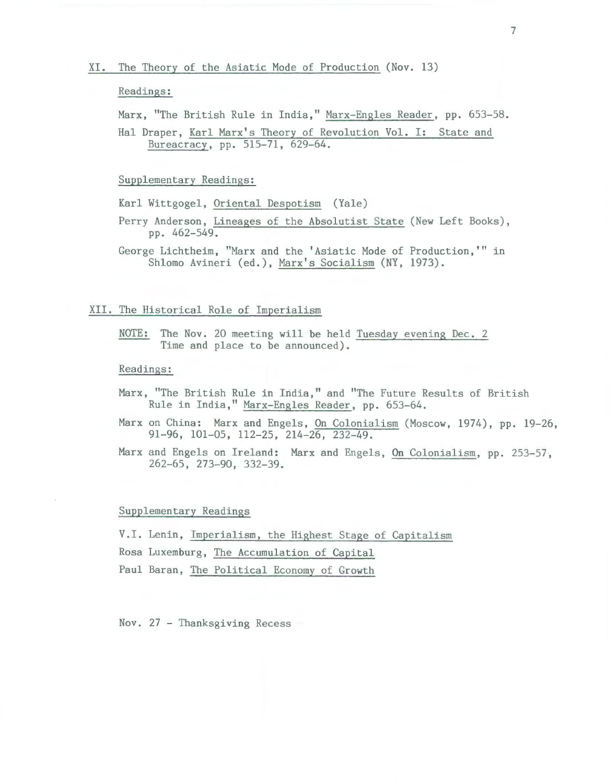# XI. The Theory of the Asiatic Mode of Production (Nov. 13)

#### Readings:

Marx, "The British Rule in India," Marx-Engles Reader, pp. 653-58.

Hal Draper, Karl Marx's Theory of Revolution Vol. I: State and Bureacracy, pp. 515-71, 629-64.

#### Supplementary Readings:

Karl Wittgogel, Oriental Despotism (Yale)

- Perry Anderson, Lineages of the Absolutist State (New Left Books), pp. 462-549.
- George Lichtheim, "Marx and the 'Asiatic Mode of Production,'" in Shlomo Avineri (ed.), Marx's Socialism (NY, 1973).

### XII. The Historical Role of Imperialism

NOTE: The Nov. 20 meeting will be held Tuesday evening Dec. 2 Time and place to be announced).

### Readings:

- Marx, "The British Rule in India," and "The Future Results of British Rule in India," Marx- Engles Reader, pp. 653-64.
- Marx on China: Marx and Engels, On Colonialism (Moscow, 1974), pp. 19-26, 91-96, 101-05, 112-25, 214-26, 232-49.
- Marx and Engels on Ireland: Marx and Engels, On Colonialism, pp. 253-57, 262-65, 273-90, 332-39.

# Supplementary Readings

V.I. Lenin, Imperialism, the Highest Stage of Capitalism Rosa Luxemburg, The Accumulation of Capital Paul Baran, The Political Economy of Growth

Nov. 27 - Thanksgiving Recess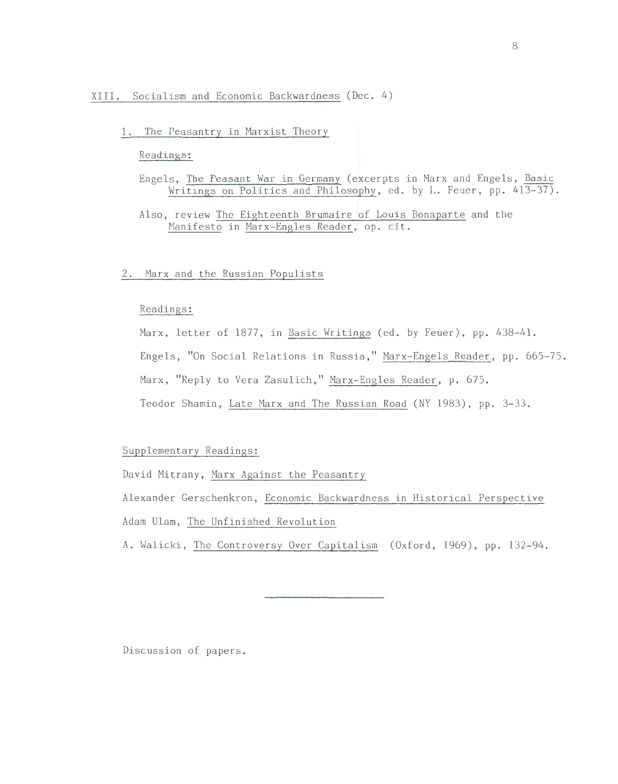# XIII. Socialism and Economic Backwardness (Dec. 4)

1. The Peasantry in Marxist Theory

# Readings:

- Engels, The Peasant War in Germany (excerpts in Marx and Engels, Basic Writings on Politics and Philosophy, ed. by L. Feuer, pp. 413-37).
- Also, review The Eighteenth Brumaire of Louis Bonaparte and the Manifesto in Marx-Engles Reader, op. cit.

# 2. Marx and the Russian Populists

# Readings:

Marx, letter of 1877, in Basic Writings (ed. by Feuer), pp. 438-41. Engels, "On Social Relations in Russia," Marx-Engels Reader, pp. 665-75. Marx, "Reply to Vera Zasulich," Marx-Engles Reader, p. 675. Teodor Shamin, Late Marx and The Russian Road (NY 1983), pp. 3-33.

# Supplementary Readings:

David Mitrany, Marx Against the Peasantry

Alexander Gerschenkron, Economic Backwardness in Historical Perspective Adam Ulam, The Unfinished Revolution

A. Walicki, The Controversy Over Capitalism (Oxford, 1969), pp. 132-94.

Discussion of papers.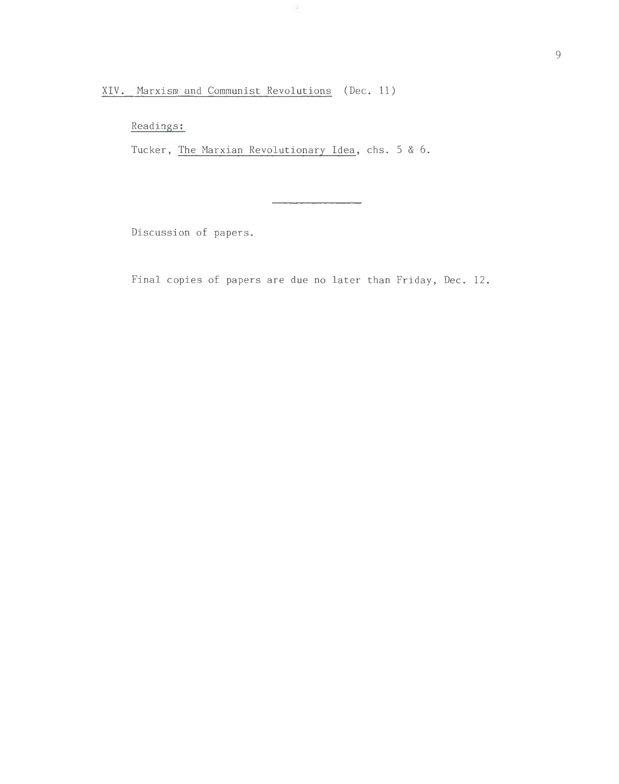XIV. Marxism and Communist Revolutions (Dec. 11)

Readings:

Tucker, The Marxian Revolutionary Idea, chs. 5 & 6.

 $\downarrow$ 

Discussion of papers.

Final copies of papers are due no later than Friday, Dec. 12.